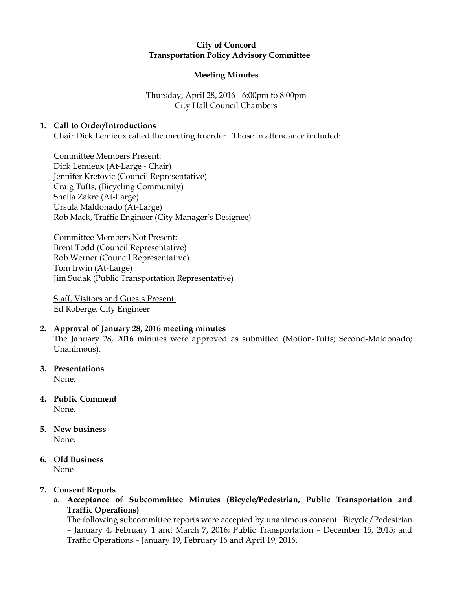## City of Concord Transportation Policy Advisory Committee

### Meeting Minutes

# Thursday, April 28, 2016 - 6:00pm to 8:00pm City Hall Council Chambers

## 1. Call to Order/Introductions

Chair Dick Lemieux called the meeting to order. Those in attendance included:

Committee Members Present: Dick Lemieux (At-Large - Chair) Jennifer Kretovic (Council Representative) Craig Tufts, (Bicycling Community) Sheila Zakre (At-Large) Ursula Maldonado (At-Large) Rob Mack, Traffic Engineer (City Manager's Designee)

Committee Members Not Present: Brent Todd (Council Representative) Rob Werner (Council Representative) Tom Irwin (At-Large) Jim Sudak (Public Transportation Representative)

Staff, Visitors and Guests Present: Ed Roberge, City Engineer

## 2. Approval of January 28, 2016 meeting minutes

The January 28, 2016 minutes were approved as submitted (Motion-Tufts; Second-Maldonado; Unanimous).

3. Presentations

None.

- 4. Public Comment None.
- 5. New business None.
- 6. Old Business None

## 7. Consent Reports

a. Acceptance of Subcommittee Minutes (Bicycle/Pedestrian, Public Transportation and Traffic Operations)

The following subcommittee reports were accepted by unanimous consent: Bicycle/Pedestrian – January 4, February 1 and March 7, 2016; Public Transportation – December 15, 2015; and Traffic Operations – January 19, February 16 and April 19, 2016.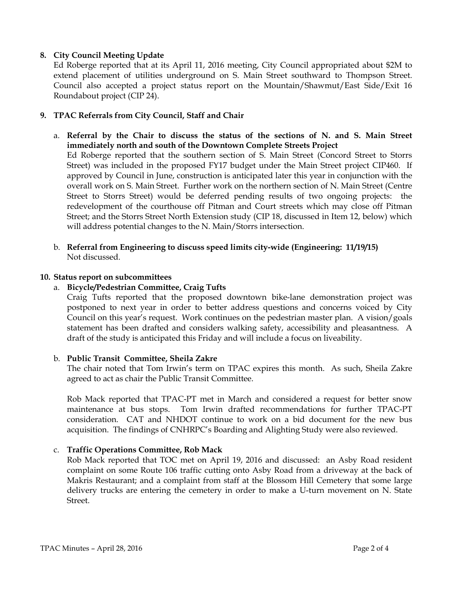## 8. City Council Meeting Update

Ed Roberge reported that at its April 11, 2016 meeting, City Council appropriated about \$2M to extend placement of utilities underground on S. Main Street southward to Thompson Street. Council also accepted a project status report on the Mountain/Shawmut/East Side/Exit 16 Roundabout project (CIP 24).

## 9. TPAC Referrals from City Council, Staff and Chair

a. Referral by the Chair to discuss the status of the sections of N. and S. Main Street immediately north and south of the Downtown Complete Streets Project Ed Roberge reported that the southern section of S. Main Street (Concord Street to Storrs Street) was included in the proposed FY17 budget under the Main Street project CIP460. If approved by Council in June, construction is anticipated later this year in conjunction with the overall work on S. Main Street. Further work on the northern section of N. Main Street (Centre

Street to Storrs Street) would be deferred pending results of two ongoing projects: the redevelopment of the courthouse off Pitman and Court streets which may close off Pitman Street; and the Storrs Street North Extension study (CIP 18, discussed in Item 12, below) which will address potential changes to the N. Main/Storrs intersection.

b. Referral from Engineering to discuss speed limits city-wide (Engineering: 11/19/15) Not discussed.

#### 10. Status report on subcommittees

## a. Bicycle/Pedestrian Committee, Craig Tufts

Craig Tufts reported that the proposed downtown bike-lane demonstration project was postponed to next year in order to better address questions and concerns voiced by City Council on this year's request. Work continues on the pedestrian master plan. A vision/goals statement has been drafted and considers walking safety, accessibility and pleasantness. A draft of the study is anticipated this Friday and will include a focus on liveability.

#### b. Public Transit Committee, Sheila Zakre

The chair noted that Tom Irwin's term on TPAC expires this month. As such, Sheila Zakre agreed to act as chair the Public Transit Committee.

Rob Mack reported that TPAC-PT met in March and considered a request for better snow maintenance at bus stops. Tom Irwin drafted recommendations for further TPAC-PT consideration. CAT and NHDOT continue to work on a bid document for the new bus acquisition. The findings of CNHRPC's Boarding and Alighting Study were also reviewed.

## c. Traffic Operations Committee, Rob Mack

Rob Mack reported that TOC met on April 19, 2016 and discussed: an Asby Road resident complaint on some Route 106 traffic cutting onto Asby Road from a driveway at the back of Makris Restaurant; and a complaint from staff at the Blossom Hill Cemetery that some large delivery trucks are entering the cemetery in order to make a U-turn movement on N. State Street.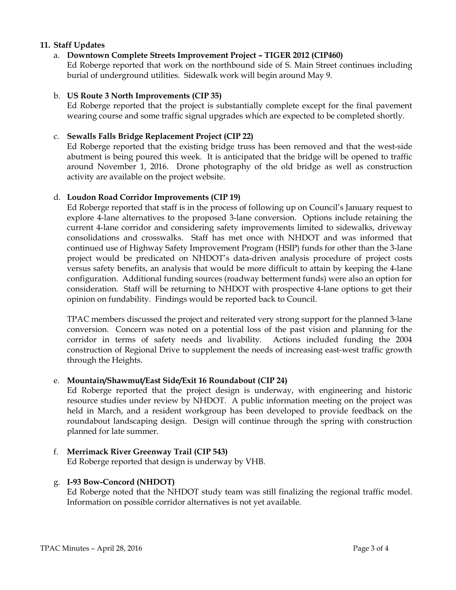### 11. Staff Updates

## a. Downtown Complete Streets Improvement Project – TIGER 2012 (CIP460)

Ed Roberge reported that work on the northbound side of S. Main Street continues including burial of underground utilities. Sidewalk work will begin around May 9.

### b. US Route 3 North Improvements (CIP 35)

Ed Roberge reported that the project is substantially complete except for the final pavement wearing course and some traffic signal upgrades which are expected to be completed shortly.

### c. Sewalls Falls Bridge Replacement Project (CIP 22)

Ed Roberge reported that the existing bridge truss has been removed and that the west-side abutment is being poured this week. It is anticipated that the bridge will be opened to traffic around November 1, 2016. Drone photography of the old bridge as well as construction activity are available on the project website.

#### d. Loudon Road Corridor Improvements (CIP 19)

Ed Roberge reported that staff is in the process of following up on Council's January request to explore 4-lane alternatives to the proposed 3-lane conversion. Options include retaining the current 4-lane corridor and considering safety improvements limited to sidewalks, driveway consolidations and crosswalks. Staff has met once with NHDOT and was informed that continued use of Highway Safety Improvement Program (HSIP) funds for other than the 3-lane project would be predicated on NHDOT's data-driven analysis procedure of project costs versus safety benefits, an analysis that would be more difficult to attain by keeping the 4-lane configuration. Additional funding sources (roadway betterment funds) were also an option for consideration. Staff will be returning to NHDOT with prospective 4-lane options to get their opinion on fundability. Findings would be reported back to Council.

TPAC members discussed the project and reiterated very strong support for the planned 3-lane conversion. Concern was noted on a potential loss of the past vision and planning for the corridor in terms of safety needs and livability. Actions included funding the 2004 construction of Regional Drive to supplement the needs of increasing east-west traffic growth through the Heights.

### e. Mountain/Shawmut/East Side/Exit 16 Roundabout (CIP 24)

Ed Roberge reported that the project design is underway, with engineering and historic resource studies under review by NHDOT. A public information meeting on the project was held in March, and a resident workgroup has been developed to provide feedback on the roundabout landscaping design. Design will continue through the spring with construction planned for late summer.

## f. Merrimack River Greenway Trail (CIP 543)

Ed Roberge reported that design is underway by VHB.

## g. I-93 Bow-Concord (NHDOT)

Ed Roberge noted that the NHDOT study team was still finalizing the regional traffic model. Information on possible corridor alternatives is not yet available.